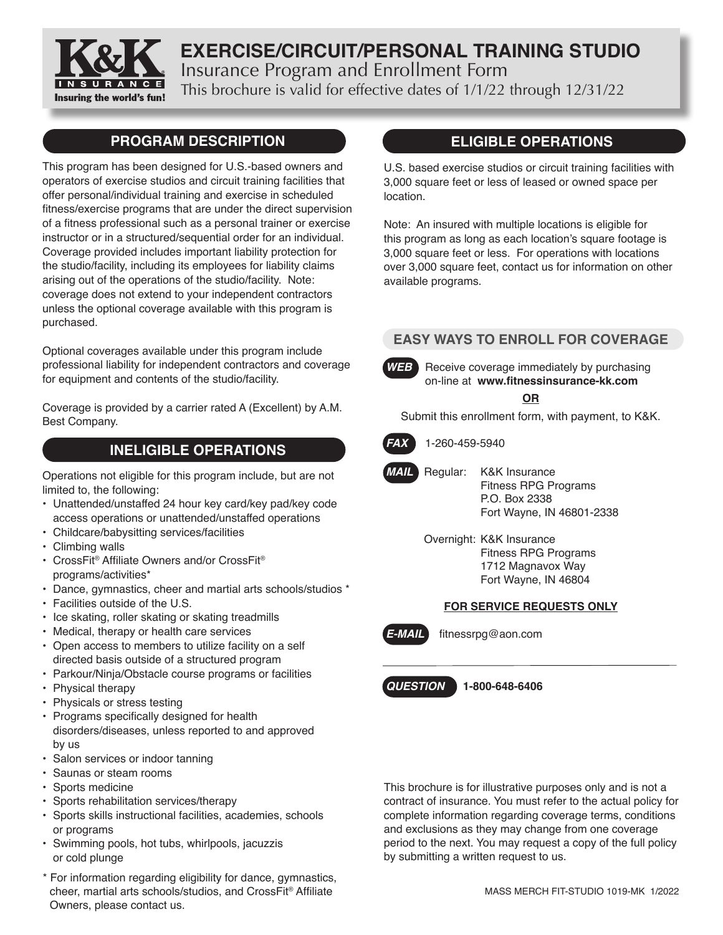

# **EXERCISE/CIRCUIT/PERSONAL TRAINING STUDIO** Insurance Program and Enrollment Form

This brochure is valid for effective dates of 1/1/22 through 12/31/22

### **PROGRAM DESCRIPTION**

This program has been designed for U.S.-based owners and operators of exercise studios and circuit training facilities that offer personal/individual training and exercise in scheduled fitness/exercise programs that are under the direct supervision of a fitness professional such as a personal trainer or exercise instructor or in a structured/sequential order for an individual. Coverage provided includes important liability protection for the studio/facility, including its employees for liability claims arising out of the operations of the studio/facility. Note: coverage does not extend to your independent contractors unless the optional coverage available with this program is purchased.

Optional coverages available under this program include professional liability for independent contractors and coverage for equipment and contents of the studio/facility.

Coverage is provided by a carrier rated A (Excellent) by A.M. Best Company.

# **INELIGIBLE OPERATIONS**

Operations not eligible for this program include, but are not limited to, the following:

- Unattended/unstaffed 24 hour key card/key pad/key code access operations or unattended/unstaffed operations
- Childcare/babysitting services/facilities
- Climbing walls
- CrossFit® Affiliate Owners and/or CrossFit® programs/activities\*
- Dance, gymnastics, cheer and martial arts schools/studios \*
- Facilities outside of the U.S.
- Ice skating, roller skating or skating treadmills
- Medical, therapy or health care services
- Open access to members to utilize facility on a self directed basis outside of a structured program
- Parkour/Ninja/Obstacle course programs or facilities
- Physical therapy
- Physicals or stress testing
- Programs specifically designed for health disorders/diseases, unless reported to and approved by us
- Salon services or indoor tanning
- Saunas or steam rooms
- Sports medicine
- Sports rehabilitation services/therapy
- Sports skills instructional facilities, academies, schools or programs
- Swimming pools, hot tubs, whirlpools, jacuzzis or cold plunge
- \* For information regarding eligibility for dance, gymnastics, cheer, martial arts schools/studios, and CrossFit® Affiliate Owners, please contact us.

### **ELIGIBLE OPERATIONS**

U.S. based exercise studios or circuit training facilities with 3,000 square feet or less of leased or owned space per location.

Note: An insured with multiple locations is eligible for this program as long as each location's square footage is 3,000 square feet or less. For operations with locations over 3,000 square feet, contact us for information on other available programs.

### **EASY WAYS TO ENROLL FOR COVERAGE**



**WEB** Receive coverage immediately by purchasing on-line at **www.fitnessinsurance-kk.com**

#### **OR**

Submit this enrollment form, with payment, to K&K.



 *FAX* 1-260-459-5940



- *MAIL* Regular: K&K Insurance Fitness RPG Programs P.O. Box 2338 Fort Wayne, IN 46801-2338
	- Overnight: K&K Insurance Fitness RPG Programs 1712 Magnavox Way Fort Wayne, IN 46804

#### **FOR SERVICE REQUESTS ONLY**



 *E-MAIL* fitnessrpg@aon.com

 *QUESTIONS* **1-800-648-6406**

This brochure is for illustrative purposes only and is not a contract of insurance. You must refer to the actual policy for complete information regarding coverage terms, conditions and exclusions as they may change from one coverage period to the next. You may request a copy of the full policy by submitting a written request to us.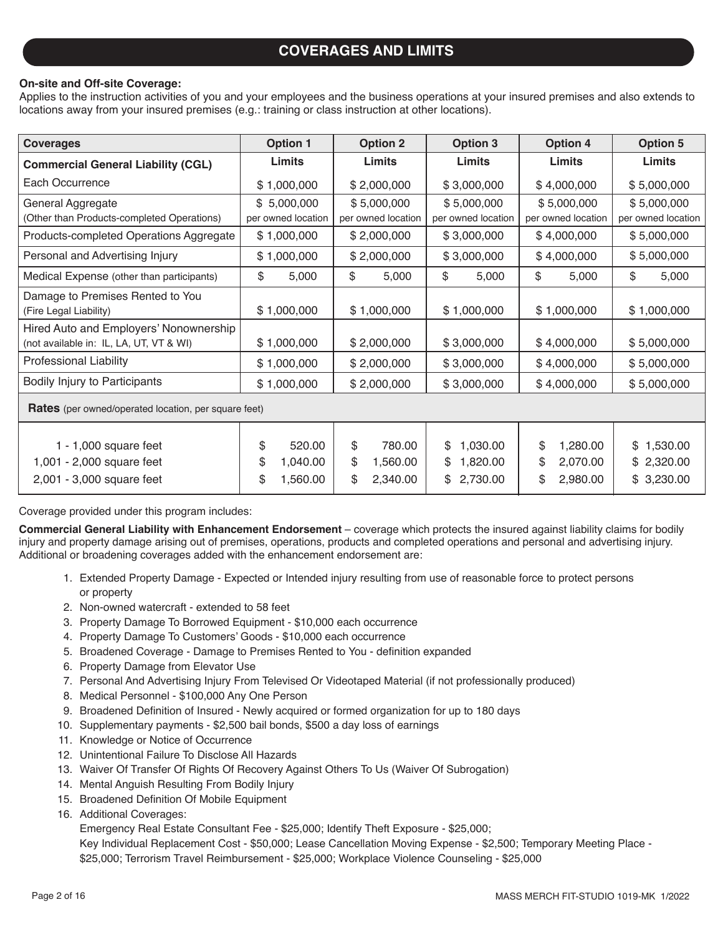### **COVERAGES AND LIMITS**

#### **On-site and Off-site Coverage:**

Applies to the instruction activities of you and your employees and the business operations at your insured premises and also extends to locations away from your insured premises (e.g.: training or class instruction at other locations).

| <b>Coverages</b>                                                                  | <b>Option 1</b>                                  | <b>Option 2</b>                                  | <b>Option 3</b>                                    | <b>Option 4</b>                                    | <b>Option 5</b>                                |
|-----------------------------------------------------------------------------------|--------------------------------------------------|--------------------------------------------------|----------------------------------------------------|----------------------------------------------------|------------------------------------------------|
| <b>Commercial General Liability (CGL)</b>                                         | Limits                                           | Limits                                           | Limits                                             | Limits                                             | Limits                                         |
| Each Occurrence                                                                   | \$1,000,000                                      | \$2,000,000                                      | \$3,000,000                                        | \$4,000,000                                        | \$5,000,000                                    |
| General Aggregate<br>(Other than Products-completed Operations)                   | \$5,000,000<br>per owned location                | \$5,000,000<br>per owned location                | \$5,000,000<br>per owned location                  | \$5,000,000<br>per owned location                  | \$5,000,000<br>per owned location              |
| Products-completed Operations Aggregate                                           | \$1,000,000                                      | \$2,000,000                                      | \$3,000,000                                        | \$4,000,000                                        | \$5,000,000                                    |
| Personal and Advertising Injury                                                   | \$1,000,000                                      | \$2,000,000                                      | \$3,000,000                                        | \$4,000,000                                        | \$5,000,000                                    |
| Medical Expense (other than participants)                                         | \$<br>5,000                                      | \$<br>5,000                                      | \$<br>5,000                                        | \$<br>5,000                                        | \$<br>5,000                                    |
| Damage to Premises Rented to You<br>(Fire Legal Liability)                        | \$1,000,000                                      | \$1,000,000                                      | \$1,000,000                                        | \$1,000,000                                        | \$1,000,000                                    |
| Hired Auto and Employers' Nonownership<br>(not available in: IL, LA, UT, VT & WI) | \$1,000,000                                      | \$2,000,000                                      | \$3,000,000                                        | \$4,000,000                                        | \$5,000,000                                    |
| Professional Liability                                                            | \$1,000,000                                      | \$2,000,000                                      | \$3,000,000                                        | \$4,000,000                                        | \$5,000,000                                    |
| Bodily Injury to Participants                                                     | \$1,000,000                                      | \$2,000,000                                      | \$3,000,000                                        | \$4,000,000                                        | \$5,000,000                                    |
| <b>Rates</b> (per owned/operated location, per square feet)                       |                                                  |                                                  |                                                    |                                                    |                                                |
| 1 - $1,000$ square feet<br>1,001 - 2,000 square feet<br>2,001 - 3,000 square feet | \$<br>520.00<br>\$<br>1,040.00<br>\$<br>1,560.00 | \$<br>780.00<br>\$<br>1,560.00<br>\$<br>2,340.00 | 1,030.00<br>\$<br>\$<br>1,820.00<br>\$<br>2,730.00 | \$<br>1,280.00<br>\$<br>2,070.00<br>\$<br>2,980.00 | 1,530.00<br>\$<br>2,320.00<br>\$<br>\$3,230.00 |

Coverage provided under this program includes:

**Commercial General Liability with Enhancement Endorsement** – coverage which protects the insured against liability claims for bodily injury and property damage arising out of premises, operations, products and completed operations and personal and advertising injury. Additional or broadening coverages added with the enhancement endorsement are:

- 1. Extended Property Damage Expected or Intended injury resulting from use of reasonable force to protect persons or property
- 2. Non-owned watercraft extended to 58 feet
- 3. Property Damage To Borrowed Equipment \$10,000 each occurrence
- 4. Property Damage To Customers' Goods \$10,000 each occurrence
- 5. Broadened Coverage Damage to Premises Rented to You definition expanded
- 6. Property Damage from Elevator Use
- 7. Personal And Advertising Injury From Televised Or Videotaped Material (if not professionally produced)
- 8. Medical Personnel \$100,000 Any One Person
- 9. Broadened Definition of Insured Newly acquired or formed organization for up to 180 days
- 10. Supplementary payments \$2,500 bail bonds, \$500 a day loss of earnings
- 11. Knowledge or Notice of Occurrence
- 12. Unintentional Failure To Disclose All Hazards
- 13. Waiver Of Transfer Of Rights Of Recovery Against Others To Us (Waiver Of Subrogation)
- 14. Mental Anguish Resulting From Bodily Injury
- 15. Broadened Definition Of Mobile Equipment
- 16. Additional Coverages:

Emergency Real Estate Consultant Fee - \$25,000; Identify Theft Exposure - \$25,000;

 Key Individual Replacement Cost - \$50,000; Lease Cancellation Moving Expense - \$2,500; Temporary Meeting Place - \$25,000; Terrorism Travel Reimbursement - \$25,000; Workplace Violence Counseling - \$25,000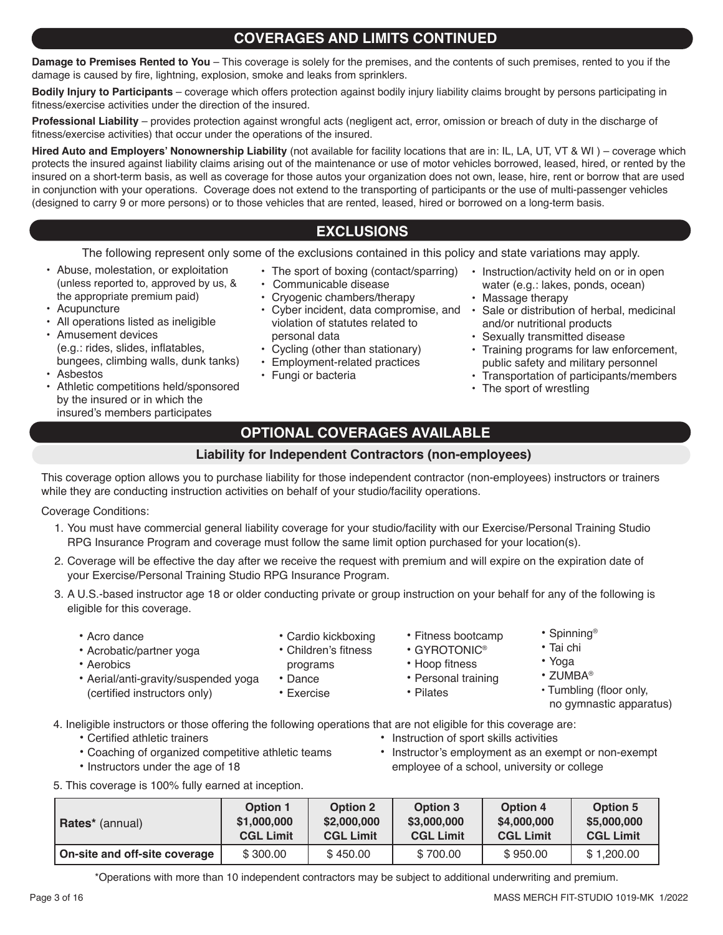### **COVERAGES AND LIMITS CONTINUED**

**Damage to Premises Rented to You** – This coverage is solely for the premises, and the contents of such premises, rented to you if the damage is caused by fire, lightning, explosion, smoke and leaks from sprinklers.

**Bodily Injury to Participants** – coverage which offers protection against bodily injury liability claims brought by persons participating in fitness/exercise activities under the direction of the insured.

**Professional Liability** – provides protection against wrongful acts (negligent act, error, omission or breach of duty in the discharge of fitness/exercise activities) that occur under the operations of the insured.

**Hired Auto and Employers' Nonownership Liability** (not available for facility locations that are in: IL, LA, UT, VT & WI ) – coverage which protects the insured against liability claims arising out of the maintenance or use of motor vehicles borrowed, leased, hired, or rented by the insured on a short-term basis, as well as coverage for those autos your organization does not own, lease, hire, rent or borrow that are used in conjunction with your operations. Coverage does not extend to the transporting of participants or the use of multi-passenger vehicles (designed to carry 9 or more persons) or to those vehicles that are rented, leased, hired or borrowed on a long-term basis.

## **EXCLUSIONS**

The following represent only some of the exclusions contained in this policy and state variations may apply.

- Abuse, molestation, or exploitation (unless reported to, approved by us, & the appropriate premium paid)
- Acupuncture
- All operations listed as ineligible
- Amusement devices (e.g.: rides, slides, inflatables, bungees, climbing walls, dunk tanks)
- Asbestos
- Athletic competitions held/sponsored by the insured or in which the insured's members participates
- The sport of boxing (contact/sparring)
- Communicable disease
- Cryogenic chambers/therapy
- violation of statutes related to personal data
- Cycling (other than stationary)
- Employment-related practices
- Fungi or bacteria
- Instruction/activity held on or in open water (e.g.: lakes, ponds, ocean)
- Massage therapy
- Cyber incident, data compromise, and Sale or distribution of herbal, medicinal and/or nutritional products
	- Sexually transmitted disease
	- Training programs for law enforcement, public safety and military personnel
	- Transportation of participants/members
	- The sport of wrestling

### **OPTIONAL COVERAGES AVAILABLE**

#### **Liability for Independent Contractors (non-employees)**

This coverage option allows you to purchase liability for those independent contractor (non-employees) instructors or trainers while they are conducting instruction activities on behalf of your studio/facility operations.

Coverage Conditions:

- 1. You must have commercial general liability coverage for your studio/facility with our Exercise/Personal Training Studio RPG Insurance Program and coverage must follow the same limit option purchased for your location(s).
- 2. Coverage will be effective the day after we receive the request with premium and will expire on the expiration date of your Exercise/Personal Training Studio RPG Insurance Program.
- 3. A U.S.-based instructor age 18 or older conducting private or group instruction on your behalf for any of the following is eligible for this coverage.
	- Acro dance
- Cardio kickboxing
- Acrobatic/partner yoga • Aerobics
- Children's fitness
- programs
	- Dance
	- Exercise
- Fitness bootcamp
- GYROTONIC®
- Hoop fitness
- Personal training • Pilates
- 

4. Ineligible instructors or those offering the following operations that are not eligible for this coverage are:

(certified instructors only)

- Certified athletic trainers Instruction of sport skills activities<br>• Coaching of organized competitive athletic teams Instructor's employment as an exe
- 

• Aerial/anti-gravity/suspended yoga

- 
- 
- Instructor's employment as an exempt or non-exempt • Instructors under the age of 18 employee of a school, university or college

5. This coverage is 100% fully earned at inception.

| <b>Rates</b> <sup>*</sup> (annual) | <b>Option 1</b>  | <b>Option 2</b>  | <b>Option 3</b>  | <b>Option 4</b>  | <b>Option 5</b>  |
|------------------------------------|------------------|------------------|------------------|------------------|------------------|
|                                    | \$1,000,000      | \$2,000,000      | \$3,000,000      | \$4,000,000      | \$5,000,000      |
|                                    | <b>CGL Limit</b> | <b>CGL Limit</b> | <b>CGL Limit</b> | <b>CGL Limit</b> | <b>CGL Limit</b> |
| On-site and off-site coverage      | \$300.00         | \$450.00         | \$700.00         | \$950.00         | \$1,200.00       |

\*Operations with more than 10 independent contractors may be subject to additional underwriting and premium.

- - Yoga
		- ZUMBA®
		- Tumbling (floor only,
			- no gymnastic apparatus)
- Spinning® • Tai chi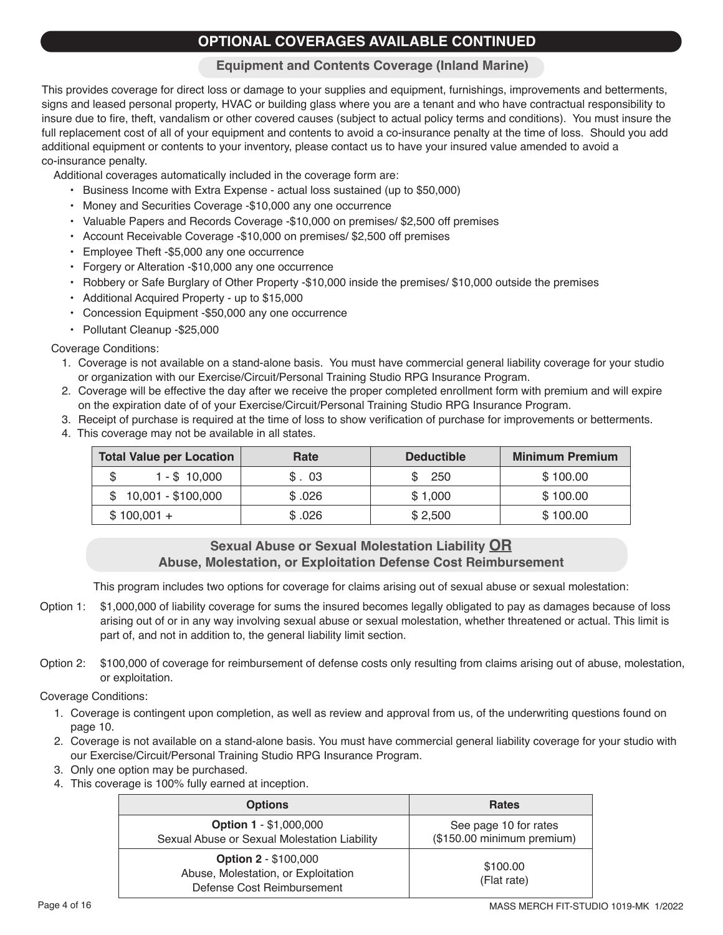# **OPTIONAL COVERAGES AVAILABLE CONTINUED**

#### **Equipment and Contents Coverage (Inland Marine)**

This provides coverage for direct loss or damage to your supplies and equipment, furnishings, improvements and betterments, signs and leased personal property, HVAC or building glass where you are a tenant and who have contractual responsibility to insure due to fire, theft, vandalism or other covered causes (subject to actual policy terms and conditions). You must insure the full replacement cost of all of your equipment and contents to avoid a co-insurance penalty at the time of loss. Should you add additional equipment or contents to your inventory, please contact us to have your insured value amended to avoid a co-insurance penalty.

Additional coverages automatically included in the coverage form are:

- Business Income with Extra Expense actual loss sustained (up to \$50,000)
- Money and Securities Coverage -\$10,000 any one occurrence
- Valuable Papers and Records Coverage -\$10,000 on premises/ \$2,500 off premises
- Account Receivable Coverage -\$10,000 on premises/ \$2,500 off premises
- Employee Theft -\$5,000 any one occurrence
- Forgery or Alteration -\$10,000 any one occurrence
- Robbery or Safe Burglary of Other Property -\$10,000 inside the premises/ \$10,000 outside the premises
- Additional Acquired Property up to \$15,000
- Concession Equipment -\$50,000 any one occurrence
- Pollutant Cleanup -\$25,000

#### Coverage Conditions:

- 1. Coverage is not available on a stand-alone basis. You must have commercial general liability coverage for your studio or organization with our Exercise/Circuit/Personal Training Studio RPG Insurance Program.
- 2. Coverage will be effective the day after we receive the proper completed enrollment form with premium and will expire on the expiration date of of your Exercise/Circuit/Personal Training Studio RPG Insurance Program.
- 3. Receipt of purchase is required at the time of loss to show verification of purchase for improvements or betterments.
- 4. This coverage may not be available in all states.

| <b>Total Value per Location</b> | Rate   | <b>Deductible</b> | <b>Minimum Premium</b> |
|---------------------------------|--------|-------------------|------------------------|
| $1 - $10,000$                   | \$.03  | 250               | \$100.00               |
| 10,001 - \$100,000              | \$.026 | \$1.000           | \$100.00               |
| $$100,001 +$                    | \$.026 | \$2.500           | \$100.00               |

#### **Sexual Abuse or Sexual Molestation Liability OR Abuse, Molestation, or Exploitation Defense Cost Reimbursement**

This program includes two options for coverage for claims arising out of sexual abuse or sexual molestation:

- Option 1: \$1,000,000 of liability coverage for sums the insured becomes legally obligated to pay as damages because of loss arising out of or in any way involving sexual abuse or sexual molestation, whether threatened or actual. This limit is part of, and not in addition to, the general liability limit section.
- Option 2: \$100,000 of coverage for reimbursement of defense costs only resulting from claims arising out of abuse, molestation, or exploitation.

Coverage Conditions:

- 1. Coverage is contingent upon completion, as well as review and approval from us, of the underwriting questions found on page 10.
- 2. Coverage is not available on a stand-alone basis. You must have commercial general liability coverage for your studio with our Exercise/Circuit/Personal Training Studio RPG Insurance Program.
- 3. Only one option may be purchased.
- 4. This coverage is 100% fully earned at inception.

| <b>Options</b>                                                                                   | <b>Rates</b>                                        |
|--------------------------------------------------------------------------------------------------|-----------------------------------------------------|
| <b>Option 1 - \$1,000,000</b><br>Sexual Abuse or Sexual Molestation Liability                    | See page 10 for rates<br>(\$150.00 minimum premium) |
| <b>Option 2 - \$100,000</b><br>Abuse, Molestation, or Exploitation<br>Defense Cost Reimbursement | \$100.00<br>(Flat rate)                             |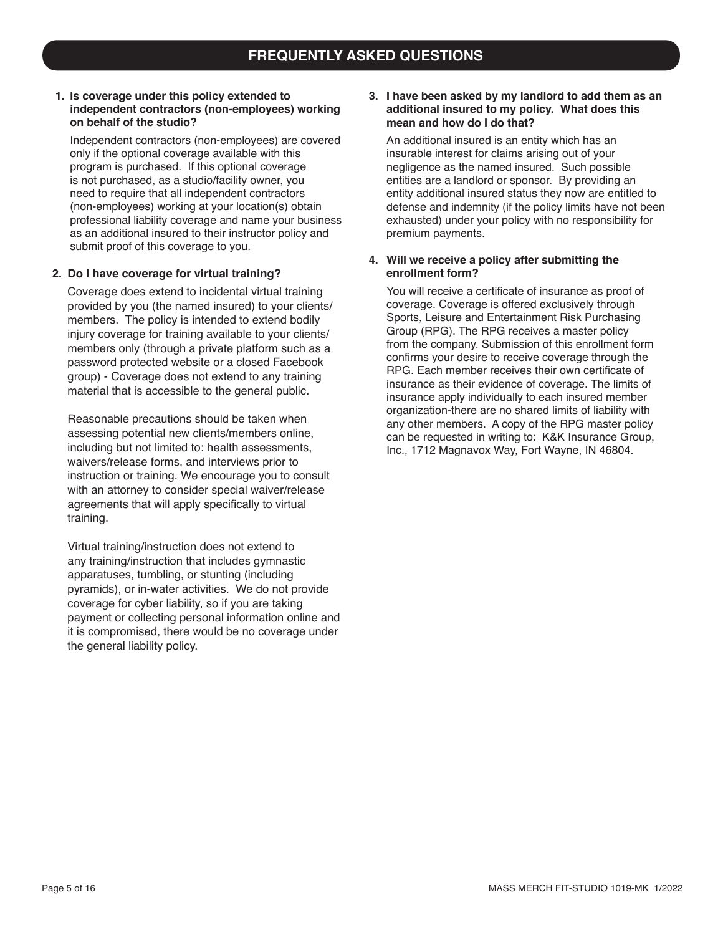#### **1. Is coverage under this policy extended to independent contractors (non-employees) working on behalf of the studio?**

Independent contractors (non-employees) are covered only if the optional coverage available with this program is purchased. If this optional coverage is not purchased, as a studio/facility owner, you need to require that all independent contractors (non-employees) working at your location(s) obtain professional liability coverage and name your business as an additional insured to their instructor policy and submit proof of this coverage to you.

#### **2. Do I have coverage for virtual training?**

Coverage does extend to incidental virtual training provided by you (the named insured) to your clients/ members. The policy is intended to extend bodily injury coverage for training available to your clients/ members only (through a private platform such as a password protected website or a closed Facebook group) - Coverage does not extend to any training material that is accessible to the general public.

Reasonable precautions should be taken when assessing potential new clients/members online, including but not limited to: health assessments, waivers/release forms, and interviews prior to instruction or training. We encourage you to consult with an attorney to consider special waiver/release agreements that will apply specifically to virtual training.

Virtual training/instruction does not extend to any training/instruction that includes gymnastic apparatuses, tumbling, or stunting (including pyramids), or in-water activities. We do not provide coverage for cyber liability, so if you are taking payment or collecting personal information online and it is compromised, there would be no coverage under the general liability policy.

#### **3. I have been asked by my landlord to add them as an additional insured to my policy. What does this mean and how do I do that?**

An additional insured is an entity which has an insurable interest for claims arising out of your negligence as the named insured. Such possible entities are a landlord or sponsor. By providing an entity additional insured status they now are entitled to defense and indemnity (if the policy limits have not been exhausted) under your policy with no responsibility for premium payments.

#### **4. Will we receive a policy after submitting the enrollment form?**

You will receive a certificate of insurance as proof of coverage. Coverage is offered exclusively through Sports, Leisure and Entertainment Risk Purchasing Group (RPG). The RPG receives a master policy from the company. Submission of this enrollment form confirms your desire to receive coverage through the RPG. Each member receives their own certificate of insurance as their evidence of coverage. The limits of insurance apply individually to each insured member organization-there are no shared limits of liability with any other members. A copy of the RPG master policy can be requested in writing to: K&K Insurance Group, Inc., 1712 Magnavox Way, Fort Wayne, IN 46804.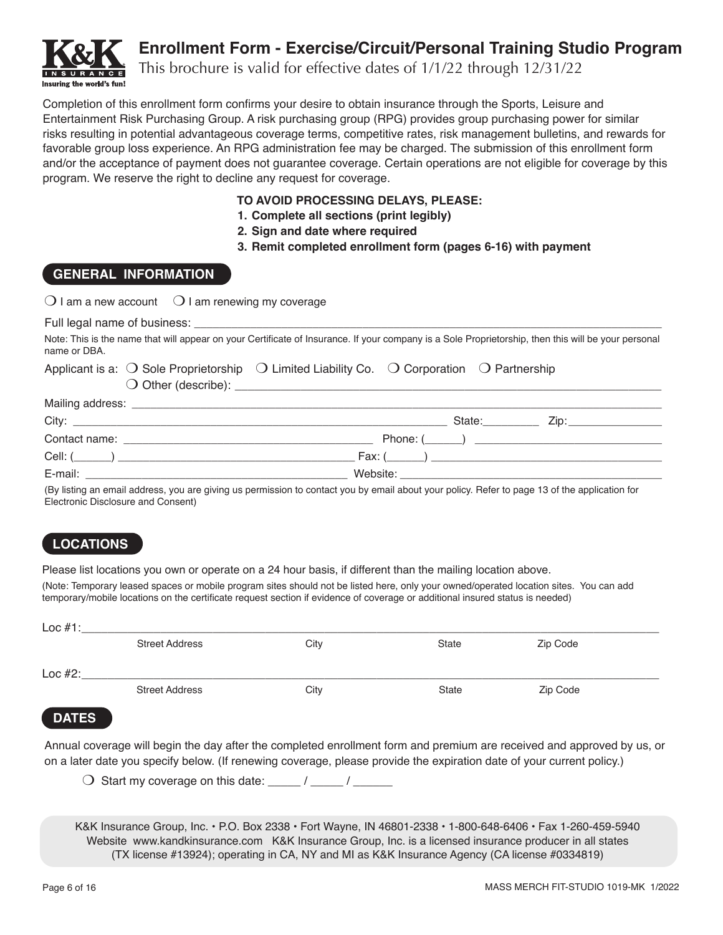

# **Enrollment Form - Exercise/Circuit/Personal Training Studio Program**

This brochure is valid for effective dates of 1/1/22 through 12/31/22

Completion of this enrollment form confirms your desire to obtain insurance through the Sports, Leisure and Entertainment Risk Purchasing Group. A risk purchasing group (RPG) provides group purchasing power for similar risks resulting in potential advantageous coverage terms, competitive rates, risk management bulletins, and rewards for favorable group loss experience. An RPG administration fee may be charged. The submission of this enrollment form and/or the acceptance of payment does not guarantee coverage. Certain operations are not eligible for coverage by this program. We reserve the right to decline any request for coverage.

#### **TO AVOID PROCESSING DELAYS, PLEASE:**

- **1. Complete all sections (print legibly)**
- **2. Sign and date where required**
- **3. Remit completed enrollment form (pages 6-16) with payment**

#### **GENERAL INFORMATION**

| $\bigcirc$ I am a new account $\bigcirc$ I am renewing my coverage                                                                                                  |                                 |
|---------------------------------------------------------------------------------------------------------------------------------------------------------------------|---------------------------------|
|                                                                                                                                                                     |                                 |
| Note: This is the name that will appear on your Certificate of Insurance. If your company is a Sole Proprietorship, then this will be your personal<br>name or DBA. |                                 |
| Applicant is a: $\bigcirc$ Sole Proprietorship $\bigcirc$ Limited Liability Co. $\bigcirc$ Corporation $\bigcirc$ Partnership                                       |                                 |
|                                                                                                                                                                     |                                 |
|                                                                                                                                                                     | State: <u>Charles Zip:</u> Zip: |
|                                                                                                                                                                     |                                 |
|                                                                                                                                                                     |                                 |
|                                                                                                                                                                     |                                 |

(By listing an email address, you are giving us permission to contact you by email about your policy. Refer to page 13 of the application for Electronic Disclosure and Consent)

### **LOCATIONS**

Please list locations you own or operate on a 24 hour basis, if different than the mailing location above.

(Note: Temporary leased spaces or mobile program sites should not be listed here, only your owned/operated location sites. You can add temporary/mobile locations on the certificate request section if evidence of coverage or additional insured status is needed)

| Loc $#1$ :   |                       |      |              |          |  |
|--------------|-----------------------|------|--------------|----------|--|
|              | <b>Street Address</b> | City | <b>State</b> | Zip Code |  |
| Loc $#2$ :   |                       |      |              |          |  |
|              | <b>Street Address</b> | City | <b>State</b> | Zip Code |  |
| <b>DATES</b> |                       |      |              |          |  |

Annual coverage will begin the day after the completed enrollment form and premium are received and approved by us, or on a later date you specify below. (If renewing coverage, please provide the expiration date of your current policy.)

 $\bigcirc$  Start my coverage on this date:  $\bigcirc$  /  $\bigcirc$  /

K&K Insurance Group, Inc. • P.O. Box 2338 • Fort Wayne, IN 46801-2338 • 1-800-648-6406 • Fax 1-260-459-5940 Website www.kandkinsurance.com K&K Insurance Group, Inc. is a licensed insurance producer in all states (TX license #13924); operating in CA, NY and MI as K&K Insurance Agency (CA license #0334819)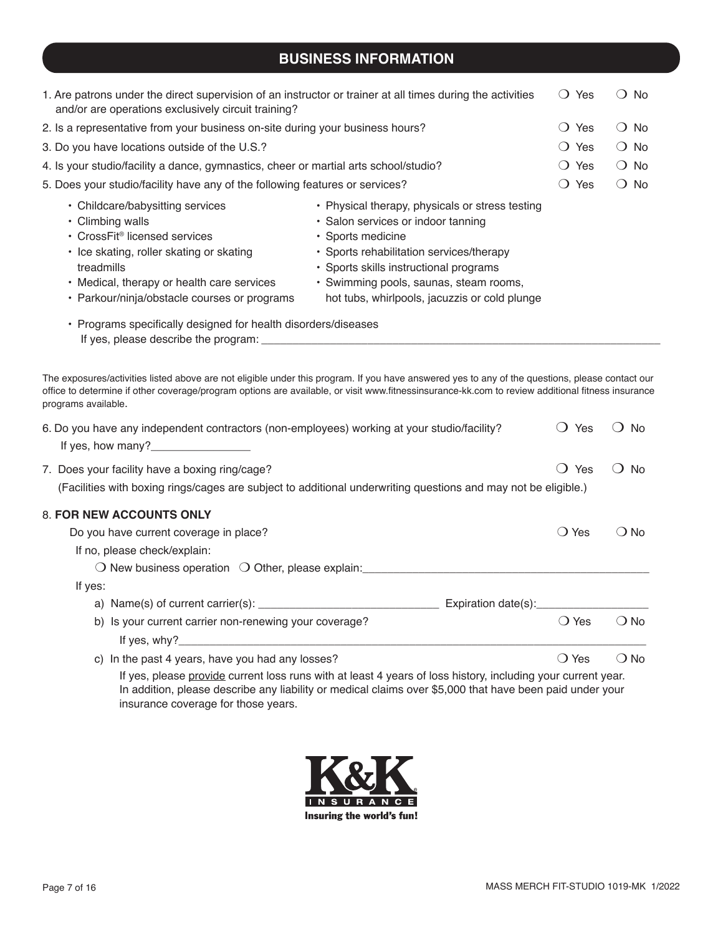### **BUSINESS INFORMATION**

| 1. Are patrons under the direct supervision of an instructor or trainer at all times during the activities<br>and/or are operations exclusively circuit training?                                                                                                                                                                                                   |                                                                                                                                                                                                                                                                                             | Yes<br>$\left( \right)$       | $\bigcirc$ No |
|---------------------------------------------------------------------------------------------------------------------------------------------------------------------------------------------------------------------------------------------------------------------------------------------------------------------------------------------------------------------|---------------------------------------------------------------------------------------------------------------------------------------------------------------------------------------------------------------------------------------------------------------------------------------------|-------------------------------|---------------|
| 2. Is a representative from your business on-site during your business hours?                                                                                                                                                                                                                                                                                       |                                                                                                                                                                                                                                                                                             | Yes<br>$\left( \quad \right)$ | $\bigcirc$ No |
| 3. Do you have locations outside of the U.S.?                                                                                                                                                                                                                                                                                                                       |                                                                                                                                                                                                                                                                                             | Yes<br>$\left( \right)$       | $\bigcirc$ No |
| 4. Is your studio/facility a dance, gymnastics, cheer or martial arts school/studio?                                                                                                                                                                                                                                                                                |                                                                                                                                                                                                                                                                                             | Yes<br>$\left( \right)$       | $\bigcirc$ No |
| 5. Does your studio/facility have any of the following features or services?                                                                                                                                                                                                                                                                                        |                                                                                                                                                                                                                                                                                             | Yes<br>$\left( \quad \right)$ | $\bigcirc$ No |
| • Childcare/babysitting services<br>• Climbing walls<br>• CrossFit <sup>®</sup> licensed services<br>• Ice skating, roller skating or skating<br>treadmills<br>• Medical, therapy or health care services<br>• Parkour/ninja/obstacle courses or programs<br>• Programs specifically designed for health disorders/diseases<br>If yes, please describe the program: | • Physical therapy, physicals or stress testing<br>· Salon services or indoor tanning<br>· Sports medicine<br>• Sports rehabilitation services/therapy<br>• Sports skills instructional programs<br>• Swimming pools, saunas, steam rooms,<br>hot tubs, whirlpools, jacuzzis or cold plunge |                               |               |

The exposures/activities listed above are not eligible under this program. If you have answered yes to any of the questions, please contact our office to determine if other coverage/program options are available, or visit www.fitnessinsurance-kk.com to review additional fitness insurance programs available.

| 6. Do you have any independent contractors (non-employees) working at your studio/facility?<br>If yes, how many?                                                                                                                                                | Yes            | No            |
|-----------------------------------------------------------------------------------------------------------------------------------------------------------------------------------------------------------------------------------------------------------------|----------------|---------------|
| 7. Does your facility have a boxing ring/cage?                                                                                                                                                                                                                  | Yes            | No.           |
| (Facilities with boxing rings/cages are subject to additional underwriting questions and may not be eligible.)                                                                                                                                                  |                |               |
| <b>8. FOR NEW ACCOUNTS ONLY</b>                                                                                                                                                                                                                                 |                |               |
| Do you have current coverage in place?                                                                                                                                                                                                                          | () Yes         | ( ) No        |
| If no, please check/explain:                                                                                                                                                                                                                                    |                |               |
| $\bigcirc$ New business operation $\bigcirc$ Other, please explain:                                                                                                                                                                                             |                |               |
| If yes:                                                                                                                                                                                                                                                         |                |               |
|                                                                                                                                                                                                                                                                 |                |               |
| b) Is your current carrier non-renewing your coverage?                                                                                                                                                                                                          | $\bigcirc$ Yes | $\bigcirc$ No |
|                                                                                                                                                                                                                                                                 |                |               |
| c) In the past 4 years, have you had any losses?                                                                                                                                                                                                                | $\bigcirc$ Yes | $\bigcirc$ No |
| If yes, please provide current loss runs with at least 4 years of loss history, including your current year.<br>In addition, please describe any liability or medical claims over \$5,000 that have been paid under your<br>insurance coverage for those years. |                |               |

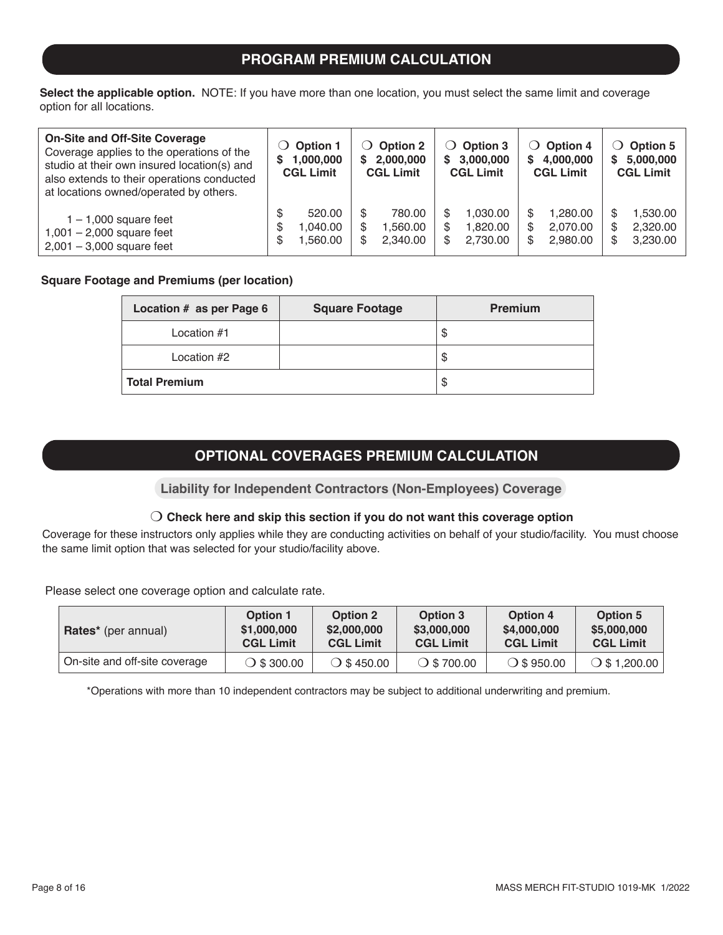### **PROGRAM PREMIUM CALCULATION**

**Select the applicable option.** NOTE: If you have more than one location, you must select the same limit and coverage option for all locations.

| <b>On-Site and Off-Site Coverage</b><br>Coverage applies to the operations of the<br>studio at their own insured location(s) and<br>also extends to their operations conducted<br>at locations owned/operated by others. | <b>Option 1</b><br>$\cup$<br>1,000,000<br>S<br><b>CGL Limit</b> | $\bigcirc$ Option 2<br>2,000,000<br>S<br><b>CGL Limit</b> | $\bigcirc$ Option 3<br>3,000,000<br>S.<br><b>CGL Limit</b> | <b>Option 4</b><br>$\Omega$<br>4,000,000<br>S.<br><b>CGL Limit</b> | <b>Option 5</b><br>$\mathcal{L}$<br>5,000,000<br>S<br><b>CGL Limit</b> |
|--------------------------------------------------------------------------------------------------------------------------------------------------------------------------------------------------------------------------|-----------------------------------------------------------------|-----------------------------------------------------------|------------------------------------------------------------|--------------------------------------------------------------------|------------------------------------------------------------------------|
| $1 - 1,000$ square feet<br>$1,001 - 2,000$ square feet<br>$2,001 - 3,000$ square feet                                                                                                                                    | 520.00<br>.040.00<br>S<br>,560.00                               | 780.00<br>1,560.00<br>S<br>2.340.00<br>S                  | 1.030.00<br>1,820.00<br>\$.<br>2,730.00<br>S               | 1.280.00<br>2,070.00<br>2.980.00                                   | 1,530.00<br>S<br>2,320.00<br>\$<br>3,230.00<br>\$                      |

#### **Square Footage and Premiums (per location)**

| Location # as per Page 6 | <b>Square Footage</b> | <b>Premium</b> |
|--------------------------|-----------------------|----------------|
| Location #1              |                       | \$             |
| Location #2              |                       | \$             |
| <b>Total Premium</b>     |                       | \$             |

### **OPTIONAL COVERAGES PREMIUM CALCULATION**

**Liability for Independent Contractors (Non-Employees) Coverage**

#### m **Check here and skip this section if you do not want this coverage option**

Coverage for these instructors only applies while they are conducting activities on behalf of your studio/facility. You must choose the same limit option that was selected for your studio/facility above.

Please select one coverage option and calculate rate.

| <b>Rates*</b> (per annual)    | <b>Option 1</b>      | <b>Option 2</b>      | Option 3             | <b>Option 4</b>     | <b>Option 5</b>     |
|-------------------------------|----------------------|----------------------|----------------------|---------------------|---------------------|
|                               | \$1,000,000          | \$2,000,000          | \$3,000,000          | \$4,000,000         | \$5,000,000         |
|                               | <b>CGL Limit</b>     | <b>CGL Limit</b>     | <b>CGL Limit</b>     | <b>CGL Limit</b>    | <b>CGL Limit</b>    |
| On-site and off-site coverage | $\bigcirc$ \$ 300.00 | $\bigcirc$ \$ 450.00 | $\bigcirc$ \$ 700.00 | $\bigcirc$ \$950.00 | $\circ$ \$ 1,200.00 |

\*Operations with more than 10 independent contractors may be subject to additional underwriting and premium.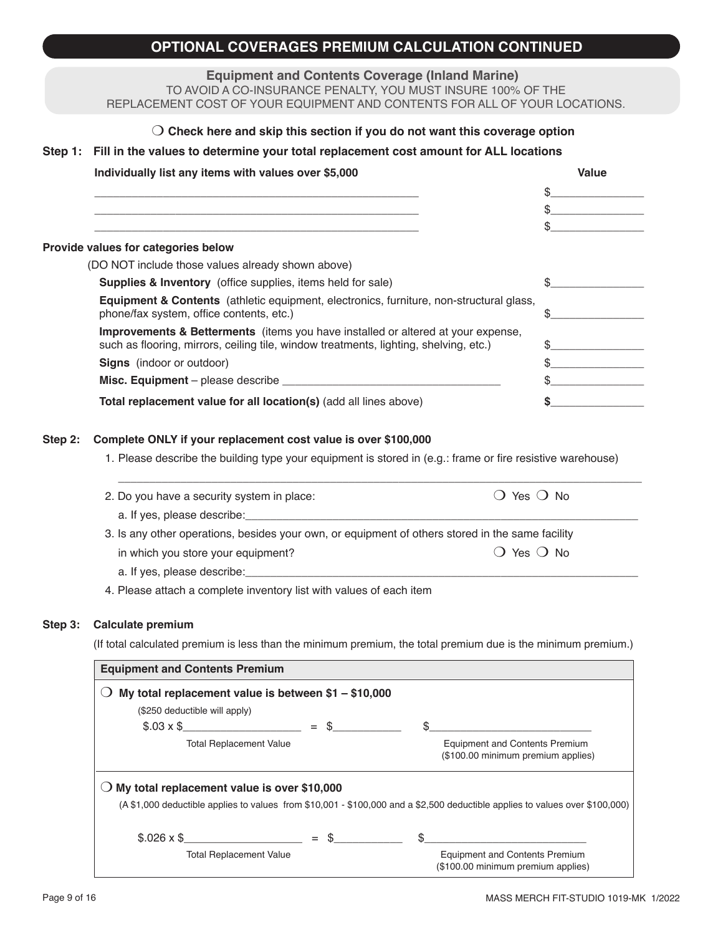### **OPTIONAL COVERAGES PREMIUM CALCULATION CONTINUED**

**Equipment and Contents Coverage (Inland Marine)**

TO AVOID A CO-INSURANCE PENALTY, YOU MUST INSURE 100% OF THE REPLACEMENT COST OF YOUR EQUIPMENT AND CONTENTS FOR ALL OF YOUR LOCATIONS.

#### m **Check here and skip this section if you do not want this coverage option**

#### **Step 1: Fill in the values to determine your total replacement cost amount for ALL locations**

| Individually list any items with values over \$5,000                                                                                                                                 | Value |
|--------------------------------------------------------------------------------------------------------------------------------------------------------------------------------------|-------|
|                                                                                                                                                                                      |       |
|                                                                                                                                                                                      | ន     |
|                                                                                                                                                                                      |       |
| Provide values for categories below                                                                                                                                                  |       |
| (DO NOT include those values already shown above)                                                                                                                                    |       |
| <b>Supplies &amp; Inventory</b> (office supplies, items held for sale)                                                                                                               |       |
| Equipment & Contents (athletic equipment, electronics, furniture, non-structural glass,<br>phone/fax system, office contents, etc.)                                                  |       |
| <b>Improvements &amp; Betterments</b> (items you have installed or altered at your expense,<br>such as flooring, mirrors, ceiling tile, window treatments, lighting, shelving, etc.) |       |
| <b>Signs</b> (indoor or outdoor)                                                                                                                                                     |       |
| Misc. Equipment – please describe __________                                                                                                                                         |       |
| Total replacement value for all location(s) (add all lines above)                                                                                                                    |       |

#### **Step 2: Complete ONLY if your replacement cost value is over \$100,000**

1. Please describe the building type your equipment is stored in (e.g.: frame or fire resistive warehouse)

| () Yes () No                                                                                     |
|--------------------------------------------------------------------------------------------------|
|                                                                                                  |
| 3. Is any other operations, besides your own, or equipment of others stored in the same facility |
| $\bigcirc$ Yes $\bigcirc$ No                                                                     |
|                                                                                                  |
|                                                                                                  |

4. Please attach a complete inventory list with values of each item

#### **Step 3: Calculate premium**

(If total calculated premium is less than the minimum premium, the total premium due is the minimum premium.)

| <b>Equipment and Contents Premium</b>                |        |                                                                                                                              |  |  |  |
|------------------------------------------------------|--------|------------------------------------------------------------------------------------------------------------------------------|--|--|--|
| My total replacement value is between $$1 - $10,000$ |        |                                                                                                                              |  |  |  |
| (\$250 deductible will apply)                        |        |                                                                                                                              |  |  |  |
| $$.03 \times $$                                      | $=$ \$ |                                                                                                                              |  |  |  |
| <b>Total Replacement Value</b>                       |        | <b>Equipment and Contents Premium</b><br>(\$100.00 minimum premium applies)                                                  |  |  |  |
| My total replacement value is over \$10,000          |        |                                                                                                                              |  |  |  |
|                                                      |        | (A \$1,000 deductible applies to values from \$10,001 - \$100,000 and a \$2,500 deductible applies to values over \$100,000) |  |  |  |
| $$.026 \times $$                                     | $=$ \$ | $\mathcal{S}$                                                                                                                |  |  |  |
| <b>Total Replacement Value</b>                       |        | <b>Equipment and Contents Premium</b><br>(\$100.00 minimum premium applies)                                                  |  |  |  |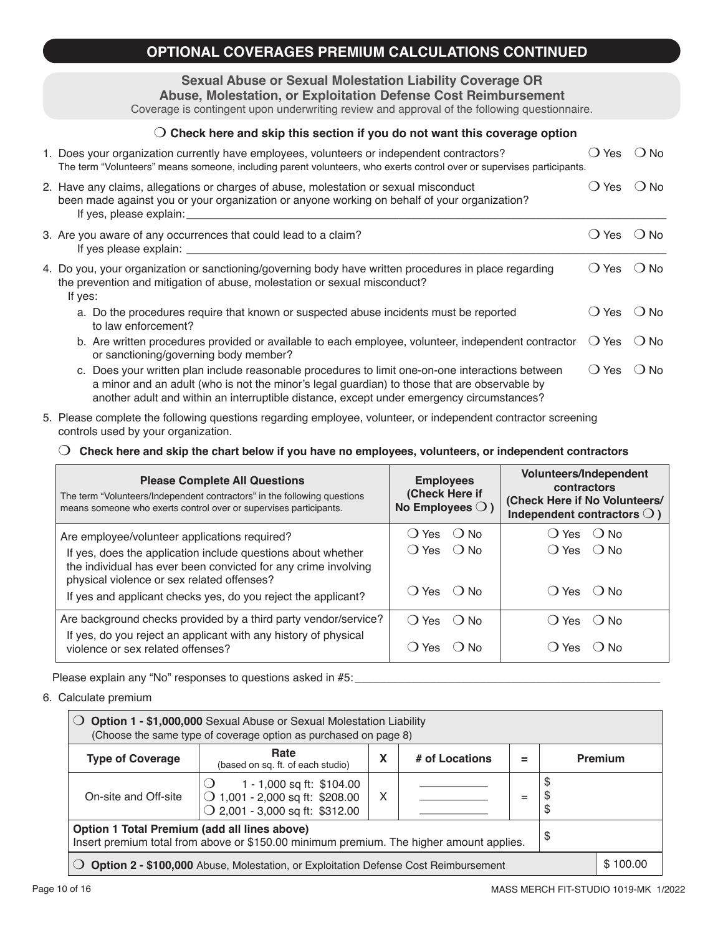### **OPTIONAL COVERAGES PREMIUM CALCULATIONS CONTINUED**

### **Sexual Abuse or Sexual Molestation Liability Coverage OR**

**Abuse, Molestation, or Exploitation Defense Cost Reimbursement** Coverage is contingent upon underwriting review and approval of the following questionnaire.

| Check here and skip this section if you do not want this coverage option                                                                                                                                                                                                                      |                               |               |
|-----------------------------------------------------------------------------------------------------------------------------------------------------------------------------------------------------------------------------------------------------------------------------------------------|-------------------------------|---------------|
| 1. Does your organization currently have employees, volunteers or independent contractors?<br>The term "Volunteers" means someone, including parent volunteers, who exerts control over or supervises participants.                                                                           | Yes                           | $\bigcirc$ No |
| 2. Have any claims, allegations or charges of abuse, molestation or sexual misconduct<br>been made against you or your organization or anyone working on behalf of your organization?<br>If yes, please explain:                                                                              | () Yes                        | $()$ No       |
| 3. Are you aware of any occurrences that could lead to a claim?<br>If yes please explain: $\frac{1}{2}$                                                                                                                                                                                       | Yes<br>$\left( \quad \right)$ | $()$ No       |
| 4. Do you, your organization or sanctioning/governing body have written procedures in place regarding<br>the prevention and mitigation of abuse, molestation or sexual misconduct?<br>If yes:                                                                                                 | Yes                           | $()$ No       |
| a. Do the procedures require that known or suspected abuse incidents must be reported<br>to law enforcement?                                                                                                                                                                                  | Yes<br>$\left( \quad \right)$ | $()$ No       |
| b. Are written procedures provided or available to each employee, volunteer, independent contractor<br>or sanctioning/governing body member?                                                                                                                                                  | Yes<br>$\left( \quad \right)$ | $()$ No       |
| c. Does your written plan include reasonable procedures to limit one-on-one interactions between<br>a minor and an adult (who is not the minor's legal guardian) to those that are observable by<br>another adult and within an interruptible distance, except under emergency circumstances? | $\bigcirc$ Yes                | $()$ No       |

5. Please complete the following questions regarding employee, volunteer, or independent contractor screening controls used by your organization.

#### m **Check here and skip the chart below if you have no employees, volunteers, or independent contractors**

| <b>Please Complete All Questions</b><br>The term "Volunteers/Independent contractors" in the following questions<br>means someone who exerts control over or supervises participants. | <b>Employees</b><br>(Check Here if<br>No Employees $\bigcirc$ ) | <b>Volunteers/Independent</b><br>contractors<br>(Check Here if No Volunteers/<br>Independent contractors $\bigcirc$ ) |  |
|---------------------------------------------------------------------------------------------------------------------------------------------------------------------------------------|-----------------------------------------------------------------|-----------------------------------------------------------------------------------------------------------------------|--|
| Are employee/volunteer applications required?                                                                                                                                         | () Yes () No                                                    | $()$ Yes $()$ No                                                                                                      |  |
| If yes, does the application include questions about whether<br>the individual has ever been convicted for any crime involving<br>physical violence or sex related offenses?          | $()$ Yes $()$ No                                                | () Yes () No                                                                                                          |  |
| If yes and applicant checks yes, do you reject the applicant?                                                                                                                         | $()$ Yes $()$ No                                                | $() Yes$ $() No$                                                                                                      |  |
| Are background checks provided by a third party vendor/service?                                                                                                                       | $() Yes$ $() No$                                                | $\bigcirc$ Yes<br>∴ O No                                                                                              |  |
| If yes, do you reject an applicant with any history of physical<br>violence or sex related offenses?                                                                                  | Yes<br>∶ ) N∩                                                   | Yes<br>⊃ No                                                                                                           |  |

Please explain any "No" responses to questions asked in #5:

6. Calculate premium

| <b>Option 1 - \$1,000,000</b> Sexual Abuse or Sexual Molestation Liability<br>(Choose the same type of coverage option as purchased on page 8) |                                                                                                          |   |  |  |                |         |
|------------------------------------------------------------------------------------------------------------------------------------------------|----------------------------------------------------------------------------------------------------------|---|--|--|----------------|---------|
| <b>Type of Coverage</b>                                                                                                                        | Rate<br>X<br># of Locations<br>(based on sq. ft. of each studio)                                         |   |  |  |                | Premium |
| On-site and Off-site                                                                                                                           | 1 - 1,000 sq ft: \$104.00<br>◯ 1,001 - 2,000 sq ft: \$208.00<br>$\bigcirc$ 2,001 - 3,000 sq ft: \$312.00 | X |  |  | \$<br>\$<br>\$ |         |
| Option 1 Total Premium (add all lines above)<br>\$<br>Insert premium total from above or \$150.00 minimum premium. The higher amount applies.  |                                                                                                          |   |  |  |                |         |
| \$100.00<br>Option 2 - \$100,000 Abuse, Molestation, or Exploitation Defense Cost Reimbursement                                                |                                                                                                          |   |  |  |                |         |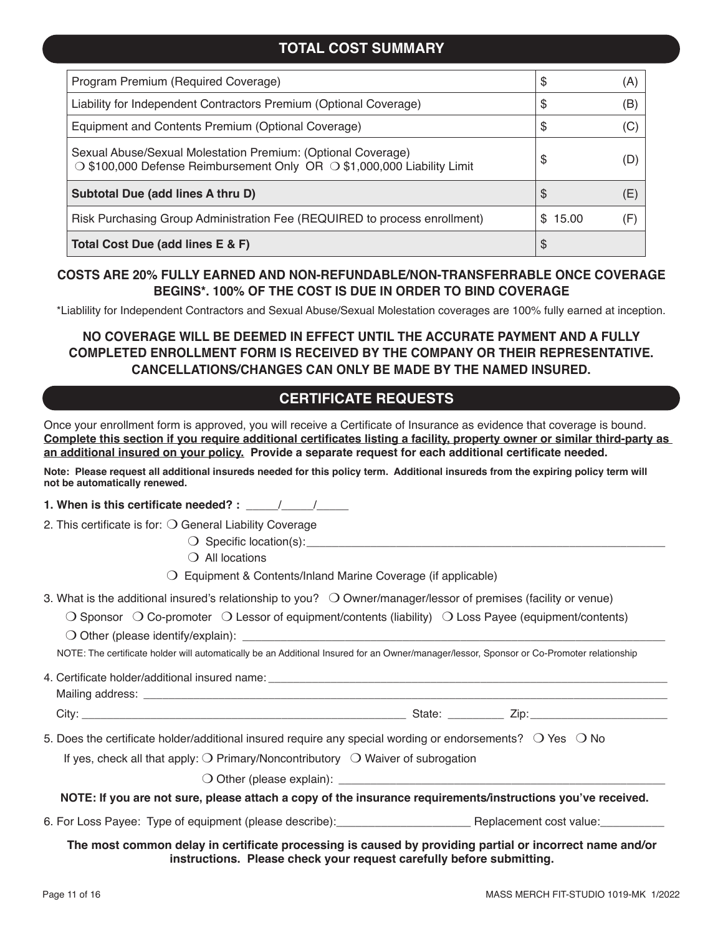### **TOTAL COST SUMMARY**

| Program Premium (Required Coverage)                                                                                                                 | S            | (A) |
|-----------------------------------------------------------------------------------------------------------------------------------------------------|--------------|-----|
| Liability for Independent Contractors Premium (Optional Coverage)                                                                                   | S            | (B) |
| Equipment and Contents Premium (Optional Coverage)                                                                                                  | \$           | (C) |
| Sexual Abuse/Sexual Molestation Premium: (Optional Coverage)<br>$\circ$ \$100,000 Defense Reimbursement Only OR $\circ$ \$1,000,000 Liability Limit | S            | (D) |
| Subtotal Due (add lines A thru D)                                                                                                                   | \$           | (E) |
| Risk Purchasing Group Administration Fee (REQUIRED to process enrollment)                                                                           | 15.00<br>\$. |     |
| Total Cost Due (add lines E & F)                                                                                                                    | \$           |     |

#### **COSTS ARE 20% FULLY EARNED AND NON-REFUNDABLE/NON-TRANSFERRABLE ONCE COVERAGE BEGINS\*. 100% OF THE COST IS DUE IN ORDER TO BIND COVERAGE**

\*Liablility for Independent Contractors and Sexual Abuse/Sexual Molestation coverages are 100% fully earned at inception.

### **NO COVERAGE WILL BE DEEMED IN EFFECT UNTIL THE ACCURATE PAYMENT AND A FULLY COMPLETED ENROLLMENT FORM IS RECEIVED BY THE COMPANY OR THEIR REPRESENTATIVE. CANCELLATIONS/CHANGES CAN ONLY BE MADE BY THE NAMED INSURED.**

### **CERTIFICATE REQUESTS**

Once your enrollment form is approved, you will receive a Certificate of Insurance as evidence that coverage is bound. **Complete this section if you require additional certificates listing a facility, property owner or similar third-party as an additional insured on your policy. Provide a separate request for each additional certificate needed.** 

**Note: Please request all additional insureds needed for this policy term. Additional insureds from the expiring policy term will not be automatically renewed.** 

**1. When is this certificate needed? : \_\_\_\_\_ / \_\_\_\_\_/** 

2. This certificate is for:  $\bigcirc$  General Liability Coverage

 $\bigcirc$  Specific location(s):

 $\bigcirc$  All locations

 $\bigcirc$  Equipment & Contents/Inland Marine Coverage (if applicable)

- 3. What is the additional insured's relationship to you?  $\bigcirc$  Owner/manager/lessor of premises (facility or venue)
	- $\bigcirc$  Sponsor  $\bigcirc$  Co-promoter  $\bigcirc$  Lessor of equipment/contents (liability)  $\bigcirc$  Loss Payee (equipment/contents)
	- $\bigcirc$  Other (please identify/explain):

NOTE: The certificate holder will automatically be an Additional Insured for an Owner/manager/lessor, Sponsor or Co-Promoter relationship

4. Certificate holder/additional insured name:

Mailing address:

City: \_\_\_\_\_\_\_\_\_\_\_\_\_\_\_\_\_\_\_\_\_\_\_\_\_\_\_\_\_\_\_\_\_\_\_\_\_\_\_\_\_\_\_\_\_\_\_\_\_\_\_\_ State: \_\_\_\_\_\_\_\_\_ Zip:\_\_\_\_\_\_\_\_\_\_\_\_\_\_\_\_\_\_\_\_\_\_

5. Does the certificate holder/additional insured require any special wording or endorsements?  $\bigcirc$  Yes  $\bigcirc$  No

If yes, check all that apply:  $\bigcirc$  Primary/Noncontributory  $\bigcirc$  Waiver of subrogation

 $\bigcirc$  Other (please explain):

**NOTE: If you are not sure, please attach a copy of the insurance requirements/instructions you've received.**

6. For Loss Payee: Type of equipment (please describe): \_\_\_\_\_\_\_\_\_\_\_\_\_\_\_\_\_\_\_\_\_\_\_\_\_ Replacement cost value:

#### **The most common delay in certificate processing is caused by providing partial or incorrect name and/or instructions. Please check your request carefully before submitting.**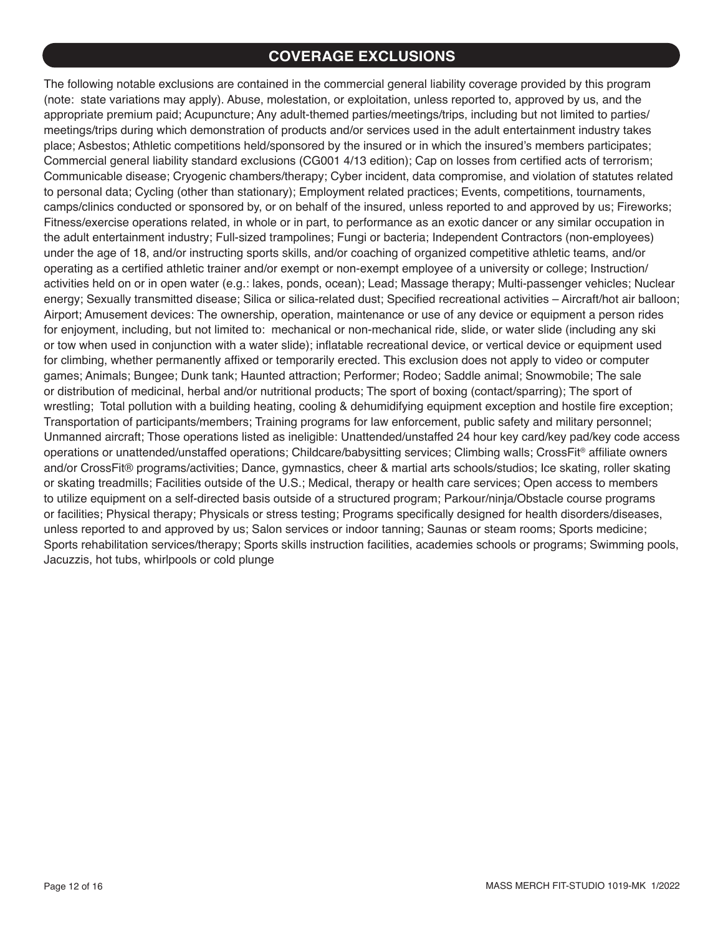### **COVERAGE EXCLUSIONS**

The following notable exclusions are contained in the commercial general liability coverage provided by this program (note: state variations may apply). Abuse, molestation, or exploitation, unless reported to, approved by us, and the appropriate premium paid; Acupuncture; Any adult-themed parties/meetings/trips, including but not limited to parties/ meetings/trips during which demonstration of products and/or services used in the adult entertainment industry takes place; Asbestos; Athletic competitions held/sponsored by the insured or in which the insured's members participates; Commercial general liability standard exclusions (CG001 4/13 edition); Cap on losses from certified acts of terrorism; Communicable disease; Cryogenic chambers/therapy; Cyber incident, data compromise, and violation of statutes related to personal data; Cycling (other than stationary); Employment related practices; Events, competitions, tournaments, camps/clinics conducted or sponsored by, or on behalf of the insured, unless reported to and approved by us; Fireworks; Fitness/exercise operations related, in whole or in part, to performance as an exotic dancer or any similar occupation in the adult entertainment industry; Full-sized trampolines; Fungi or bacteria; Independent Contractors (non-employees) under the age of 18, and/or instructing sports skills, and/or coaching of organized competitive athletic teams, and/or operating as a certified athletic trainer and/or exempt or non-exempt employee of a university or college; Instruction/ activities held on or in open water (e.g.: lakes, ponds, ocean); Lead; Massage therapy; Multi-passenger vehicles; Nuclear energy; Sexually transmitted disease; Silica or silica-related dust; Specified recreational activities – Aircraft/hot air balloon; Airport; Amusement devices: The ownership, operation, maintenance or use of any device or equipment a person rides for enjoyment, including, but not limited to: mechanical or non-mechanical ride, slide, or water slide (including any ski or tow when used in conjunction with a water slide); inflatable recreational device, or vertical device or equipment used for climbing, whether permanently affixed or temporarily erected. This exclusion does not apply to video or computer games; Animals; Bungee; Dunk tank; Haunted attraction; Performer; Rodeo; Saddle animal; Snowmobile; The sale or distribution of medicinal, herbal and/or nutritional products; The sport of boxing (contact/sparring); The sport of wrestling; Total pollution with a building heating, cooling & dehumidifying equipment exception and hostile fire exception; Transportation of participants/members; Training programs for law enforcement, public safety and military personnel; Unmanned aircraft; Those operations listed as ineligible: Unattended/unstaffed 24 hour key card/key pad/key code access operations or unattended/unstaffed operations; Childcare/babysitting services; Climbing walls; CrossFit® affiliate owners and/or CrossFit® programs/activities; Dance, gymnastics, cheer & martial arts schools/studios; Ice skating, roller skating or skating treadmills; Facilities outside of the U.S.; Medical, therapy or health care services; Open access to members to utilize equipment on a self-directed basis outside of a structured program; Parkour/ninja/Obstacle course programs or facilities; Physical therapy; Physicals or stress testing; Programs specifically designed for health disorders/diseases, unless reported to and approved by us; Salon services or indoor tanning; Saunas or steam rooms; Sports medicine; Sports rehabilitation services/therapy; Sports skills instruction facilities, academies schools or programs; Swimming pools, Jacuzzis, hot tubs, whirlpools or cold plunge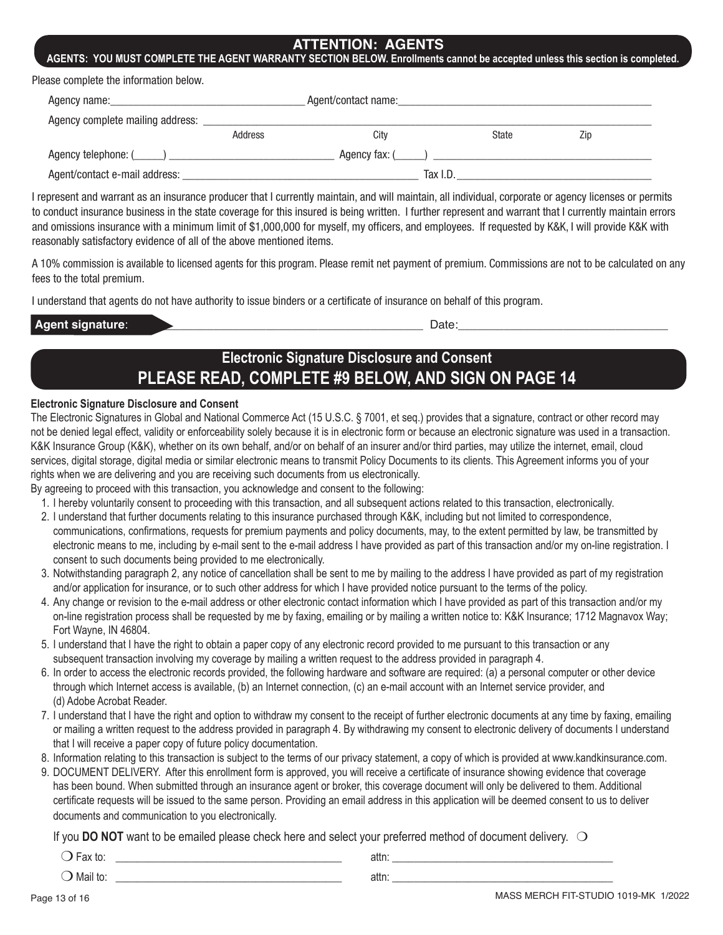#### **ATTENTION: AGENTS**

**AGENTS: YOU MUST COMPLETE THE AGENT WARRANTY SECTION BELOW. Enrollments cannot be accepted unless this section is completed.**

Please complete the information below.

| Agent/contact name:<br>Agency name: |                |               |              |     |  |
|-------------------------------------|----------------|---------------|--------------|-----|--|
| Agency complete mailing address:    |                |               |              |     |  |
|                                     | <b>Address</b> | City          | <b>State</b> | Zip |  |
| Agency telephone: $(\_\_\_\_)$      |                | Agency fax: ( |              |     |  |
| Agent/contact e-mail address:       |                | Tax I.D.      |              |     |  |

I represent and warrant as an insurance producer that I currently maintain, and will maintain, all individual, corporate or agency licenses or permits to conduct insurance business in the state coverage for this insured is being written. I further represent and warrant that I currently maintain errors and omissions insurance with a minimum limit of \$1,000,000 for myself, my officers, and employees. If requested by K&K, I will provide K&K with reasonably satisfactory evidence of all of the above mentioned items.

A 10% commission is available to licensed agents for this program. Please remit net payment of premium. Commissions are not to be calculated on any fees to the total premium.

I understand that agents do not have authority to issue binders or a certificate of insurance on behalf of this program.

| VIV. | <br>$\overline{\phantom{a}}$<br>. .<br>--- |
|------|--------------------------------------------|
|      |                                            |

# **Electronic Signature Disclosure and Consent PLEASE READ, COMPLETE #9 BELOW, AND SIGN ON PAGE 14**

#### **Electronic Signature Disclosure and Consent**

The Electronic Signatures in Global and National Commerce Act (15 U.S.C. § 7001, et seq.) provides that a signature, contract or other record may not be denied legal effect, validity or enforceability solely because it is in electronic form or because an electronic signature was used in a transaction. K&K Insurance Group (K&K), whether on its own behalf, and/or on behalf of an insurer and/or third parties, may utilize the internet, email, cloud services, digital storage, digital media or similar electronic means to transmit Policy Documents to its clients. This Agreement informs you of your rights when we are delivering and you are receiving such documents from us electronically.

By agreeing to proceed with this transaction, you acknowledge and consent to the following:

- 1. I hereby voluntarily consent to proceeding with this transaction, and all subsequent actions related to this transaction, electronically.
- 2. I understand that further documents relating to this insurance purchased through K&K, including but not limited to correspondence, communications, confirmations, requests for premium payments and policy documents, may, to the extent permitted by law, be transmitted by electronic means to me, including by e-mail sent to the e-mail address I have provided as part of this transaction and/or my on-line registration. I consent to such documents being provided to me electronically.
- 3. Notwithstanding paragraph 2, any notice of cancellation shall be sent to me by mailing to the address I have provided as part of my registration and/or application for insurance, or to such other address for which I have provided notice pursuant to the terms of the policy.
- 4. Any change or revision to the e-mail address or other electronic contact information which I have provided as part of this transaction and/or my on-line registration process shall be requested by me by faxing, emailing or by mailing a written notice to: K&K Insurance; 1712 Magnavox Way; Fort Wayne, IN 46804.
- 5. I understand that I have the right to obtain a paper copy of any electronic record provided to me pursuant to this transaction or any subsequent transaction involving my coverage by mailing a written request to the address provided in paragraph 4.
- 6. In order to access the electronic records provided, the following hardware and software are required: (a) a personal computer or other device through which Internet access is available, (b) an Internet connection, (c) an e-mail account with an Internet service provider, and (d) Adobe Acrobat Reader.
- 7. I understand that I have the right and option to withdraw my consent to the receipt of further electronic documents at any time by faxing, emailing or mailing a written request to the address provided in paragraph 4. By withdrawing my consent to electronic delivery of documents I understand that I will receive a paper copy of future policy documentation.
- 8. Information relating to this transaction is subject to the terms of our privacy statement, a copy of which is provided at www.kandkinsurance.com.
- 9. DOCUMENT DELIVERY. After this enrollment form is approved, you will receive a certificate of insurance showing evidence that coverage has been bound. When submitted through an insurance agent or broker, this coverage document will only be delivered to them. Additional certificate requests will be issued to the same person. Providing an email address in this application will be deemed consent to us to deliver documents and communication to you electronically.

If you **DO NOT** want to be emailed please check here and select your preferred method of document delivery.  $\bigcirc$ 

 m Fax to: \_\_\_\_\_\_\_\_\_\_\_\_\_\_\_\_\_\_\_\_\_\_\_\_\_\_\_\_\_\_\_\_\_\_\_\_\_\_\_\_\_\_ attn: \_\_\_\_\_\_\_\_\_\_\_\_\_\_\_\_\_\_\_\_\_\_\_\_\_\_\_\_\_\_\_\_\_\_\_\_\_\_\_\_\_ m Mail to: \_\_\_\_\_\_\_\_\_\_\_\_\_\_\_\_\_\_\_\_\_\_\_\_\_\_\_\_\_\_\_\_\_\_\_\_\_\_\_\_\_\_ attn: \_\_\_\_\_\_\_\_\_\_\_\_\_\_\_\_\_\_\_\_\_\_\_\_\_\_\_\_\_\_\_\_\_\_\_\_\_\_\_\_\_

Page 13 of 16 MASS MERCH FIT-STUDIO 1019-MK 1/2022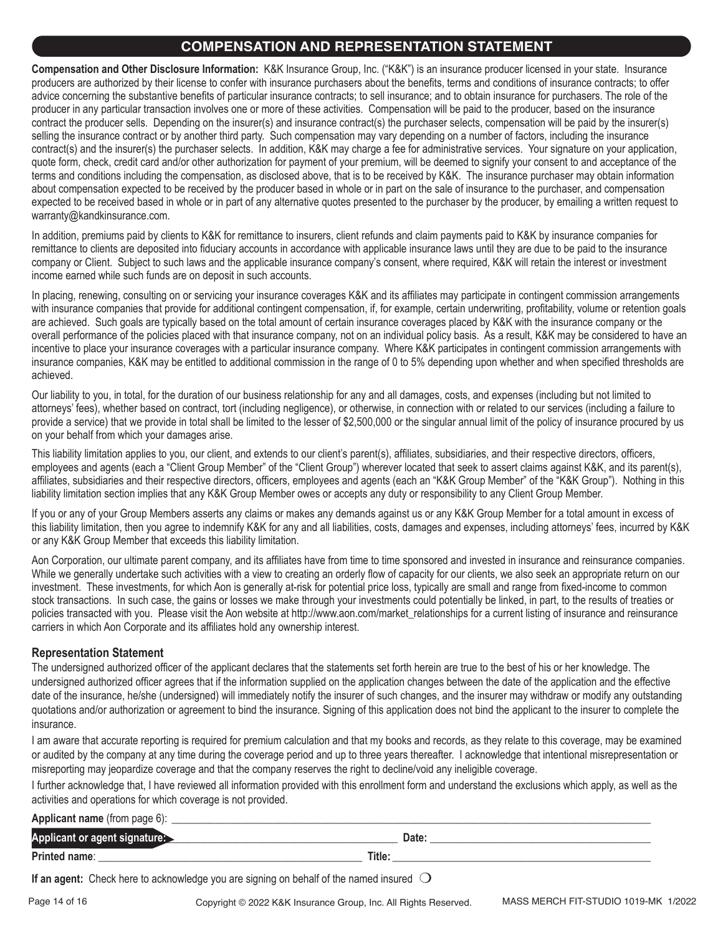### **COMPENSATION AND REPRESENTATION STATEMENT**

**Compensation and Other Disclosure Information:** K&K Insurance Group, Inc. ("K&K") is an insurance producer licensed in your state. Insurance producers are authorized by their license to confer with insurance purchasers about the benefits, terms and conditions of insurance contracts; to offer advice concerning the substantive benefits of particular insurance contracts; to sell insurance; and to obtain insurance for purchasers. The role of the producer in any particular transaction involves one or more of these activities. Compensation will be paid to the producer, based on the insurance contract the producer sells. Depending on the insurer(s) and insurance contract(s) the purchaser selects, compensation will be paid by the insurer(s) selling the insurance contract or by another third party. Such compensation may vary depending on a number of factors, including the insurance contract(s) and the insurer(s) the purchaser selects. In addition, K&K may charge a fee for administrative services. Your signature on your application, quote form, check, credit card and/or other authorization for payment of your premium, will be deemed to signify your consent to and acceptance of the terms and conditions including the compensation, as disclosed above, that is to be received by K&K. The insurance purchaser may obtain information about compensation expected to be received by the producer based in whole or in part on the sale of insurance to the purchaser, and compensation expected to be received based in whole or in part of any alternative quotes presented to the purchaser by the producer, by emailing a written request to warranty@kandkinsurance.com.

In addition, premiums paid by clients to K&K for remittance to insurers, client refunds and claim payments paid to K&K by insurance companies for remittance to clients are deposited into fiduciary accounts in accordance with applicable insurance laws until they are due to be paid to the insurance company or Client. Subject to such laws and the applicable insurance company's consent, where required, K&K will retain the interest or investment income earned while such funds are on deposit in such accounts.

In placing, renewing, consulting on or servicing your insurance coverages K&K and its affiliates may participate in contingent commission arrangements with insurance companies that provide for additional contingent compensation, if, for example, certain underwriting, profitability, volume or retention goals are achieved. Such goals are typically based on the total amount of certain insurance coverages placed by K&K with the insurance company or the overall performance of the policies placed with that insurance company, not on an individual policy basis. As a result, K&K may be considered to have an incentive to place your insurance coverages with a particular insurance company. Where K&K participates in contingent commission arrangements with insurance companies, K&K may be entitled to additional commission in the range of 0 to 5% depending upon whether and when specified thresholds are achieved.

Our liability to you, in total, for the duration of our business relationship for any and all damages, costs, and expenses (including but not limited to attorneys' fees), whether based on contract, tort (including negligence), or otherwise, in connection with or related to our services (including a failure to provide a service) that we provide in total shall be limited to the lesser of \$2,500,000 or the singular annual limit of the policy of insurance procured by us on your behalf from which your damages arise.

This liability limitation applies to you, our client, and extends to our client's parent(s), affiliates, subsidiaries, and their respective directors, officers, employees and agents (each a "Client Group Member" of the "Client Group") wherever located that seek to assert claims against K&K, and its parent(s), affiliates, subsidiaries and their respective directors, officers, employees and agents (each an "K&K Group Member" of the "K&K Group"). Nothing in this liability limitation section implies that any K&K Group Member owes or accepts any duty or responsibility to any Client Group Member.

If you or any of your Group Members asserts any claims or makes any demands against us or any K&K Group Member for a total amount in excess of this liability limitation, then you agree to indemnify K&K for any and all liabilities, costs, damages and expenses, including attorneys' fees, incurred by K&K or any K&K Group Member that exceeds this liability limitation.

Aon Corporation, our ultimate parent company, and its affiliates have from time to time sponsored and invested in insurance and reinsurance companies. While we generally undertake such activities with a view to creating an orderly flow of capacity for our clients, we also seek an appropriate return on our investment. These investments, for which Aon is generally at-risk for potential price loss, typically are small and range from fixed-income to common stock transactions. In such case, the gains or losses we make through your investments could potentially be linked, in part, to the results of treaties or policies transacted with you. Please visit the Aon website at http://www.aon.com/market\_relationships for a current listing of insurance and reinsurance carriers in which Aon Corporate and its affiliates hold any ownership interest.

#### **Representation Statement**

The undersigned authorized officer of the applicant declares that the statements set forth herein are true to the best of his or her knowledge. The undersigned authorized officer agrees that if the information supplied on the application changes between the date of the application and the effective date of the insurance, he/she (undersigned) will immediately notify the insurer of such changes, and the insurer may withdraw or modify any outstanding quotations and/or authorization or agreement to bind the insurance. Signing of this application does not bind the applicant to the insurer to complete the insurance.

I am aware that accurate reporting is required for premium calculation and that my books and records, as they relate to this coverage, may be examined or audited by the company at any time during the coverage period and up to three years thereafter. I acknowledge that intentional misrepresentation or misreporting may jeopardize coverage and that the company reserves the right to decline/void any ineligible coverage.

I further acknowledge that, I have reviewed all information provided with this enrollment form and understand the exclusions which apply, as well as the activities and operations for which coverage is not provided.

| Applicant name (from page 6): |       |
|-------------------------------|-------|
| Applicant or agent signature: | Date. |
| Printed name:                 | Title |

**If an agent:** Check here to acknowledge you are signing on behalf of the named insured  $\bigcirc$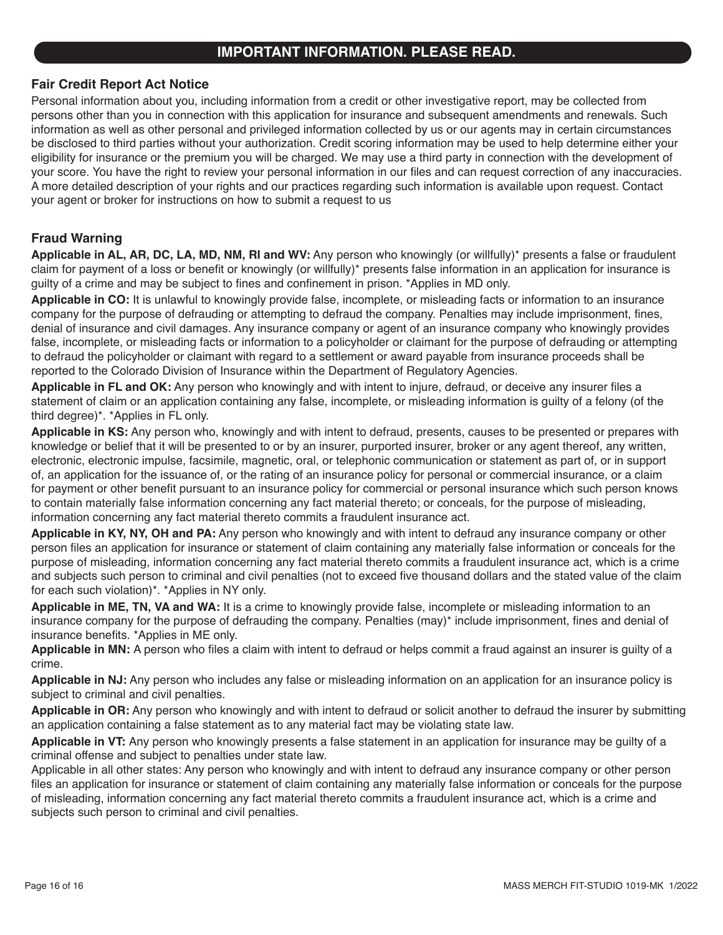### **IMPORTANT INFORMATION. PLEASE READ.**

#### **Fair Credit Report Act Notice**

Personal information about you, including information from a credit or other investigative report, may be collected from persons other than you in connection with this application for insurance and subsequent amendments and renewals. Such information as well as other personal and privileged information collected by us or our agents may in certain circumstances be disclosed to third parties without your authorization. Credit scoring information may be used to help determine either your eligibility for insurance or the premium you will be charged. We may use a third party in connection with the development of your score. You have the right to review your personal information in our files and can request correction of any inaccuracies. A more detailed description of your rights and our practices regarding such information is available upon request. Contact your agent or broker for instructions on how to submit a request to us

#### **Fraud Warning**

**Applicable in AL, AR, DC, LA, MD, NM, RI and WV:** Any person who knowingly (or willfully)\* presents a false or fraudulent claim for payment of a loss or benefit or knowingly (or willfully)\* presents false information in an application for insurance is guilty of a crime and may be subject to fines and confinement in prison. \*Applies in MD only.

**Applicable in CO:** It is unlawful to knowingly provide false, incomplete, or misleading facts or information to an insurance company for the purpose of defrauding or attempting to defraud the company. Penalties may include imprisonment, fines, denial of insurance and civil damages. Any insurance company or agent of an insurance company who knowingly provides false, incomplete, or misleading facts or information to a policyholder or claimant for the purpose of defrauding or attempting to defraud the policyholder or claimant with regard to a settlement or award payable from insurance proceeds shall be reported to the Colorado Division of Insurance within the Department of Regulatory Agencies.

**Applicable in FL and OK:** Any person who knowingly and with intent to injure, defraud, or deceive any insurer files a statement of claim or an application containing any false, incomplete, or misleading information is guilty of a felony (of the third degree)\*. \*Applies in FL only.

**Applicable in KS:** Any person who, knowingly and with intent to defraud, presents, causes to be presented or prepares with knowledge or belief that it will be presented to or by an insurer, purported insurer, broker or any agent thereof, any written, electronic, electronic impulse, facsimile, magnetic, oral, or telephonic communication or statement as part of, or in support of, an application for the issuance of, or the rating of an insurance policy for personal or commercial insurance, or a claim for payment or other benefit pursuant to an insurance policy for commercial or personal insurance which such person knows to contain materially false information concerning any fact material thereto; or conceals, for the purpose of misleading, information concerning any fact material thereto commits a fraudulent insurance act.

**Applicable in KY, NY, OH and PA:** Any person who knowingly and with intent to defraud any insurance company or other person files an application for insurance or statement of claim containing any materially false information or conceals for the purpose of misleading, information concerning any fact material thereto commits a fraudulent insurance act, which is a crime and subjects such person to criminal and civil penalties (not to exceed five thousand dollars and the stated value of the claim for each such violation)\*. \*Applies in NY only.

**Applicable in ME, TN, VA and WA:** It is a crime to knowingly provide false, incomplete or misleading information to an insurance company for the purpose of defrauding the company. Penalties (may)\* include imprisonment, fines and denial of insurance benefits. \*Applies in ME only.

**Applicable in MN:** A person who files a claim with intent to defraud or helps commit a fraud against an insurer is guilty of a crime.

**Applicable in NJ:** Any person who includes any false or misleading information on an application for an insurance policy is subject to criminal and civil penalties.

**Applicable in OR:** Any person who knowingly and with intent to defraud or solicit another to defraud the insurer by submitting an application containing a false statement as to any material fact may be violating state law.

**Applicable in VT:** Any person who knowingly presents a false statement in an application for insurance may be guilty of a criminal offense and subject to penalties under state law.

Applicable in all other states: Any person who knowingly and with intent to defraud any insurance company or other person files an application for insurance or statement of claim containing any materially false information or conceals for the purpose of misleading, information concerning any fact material thereto commits a fraudulent insurance act, which is a crime and subjects such person to criminal and civil penalties.